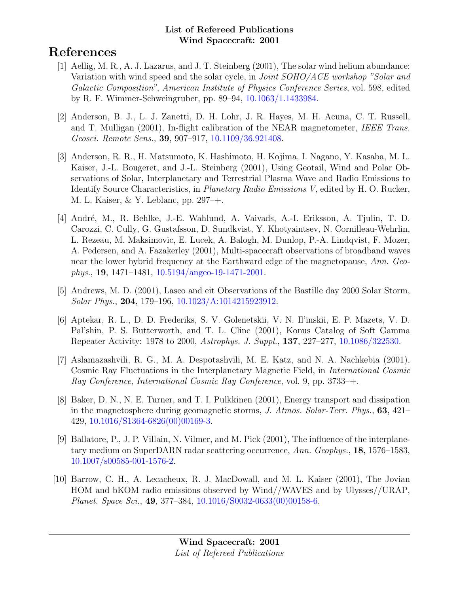# References

- [1] Aellig, M. R., A. J. Lazarus, and J. T. Steinberg (2001), The solar wind helium abundance: Variation with wind speed and the solar cycle, in *Joint SOHO/ACE workshop "Solar and* Galactic Composition", American Institute of Physics Conference Series, vol. 598, edited by R. F. Wimmer-Schweingruber, pp. 89–94, [10.1063/1.1433984.](http://dx.doi.org/10.1063/1.1433984)
- [2] Anderson, B. J., L. J. Zanetti, D. H. Lohr, J. R. Hayes, M. H. Acuna, C. T. Russell, and T. Mulligan (2001), In-flight calibration of the NEAR magnetometer, IEEE Trans. Geosci. Remote Sens., 39, 907–917, [10.1109/36.921408.](http://dx.doi.org/10.1109/36.921408)
- [3] Anderson, R. R., H. Matsumoto, K. Hashimoto, H. Kojima, I. Nagano, Y. Kasaba, M. L. Kaiser, J.-L. Bougeret, and J.-L. Steinberg (2001), Using Geotail, Wind and Polar Observations of Solar, Interplanetary and Terrestrial Plasma Wave and Radio Emissions to Identify Source Characteristics, in Planetary Radio Emissions V, edited by H. O. Rucker, M. L. Kaiser, & Y. Leblanc, pp. 297–+.
- [4] André, M., R. Behlke, J.-E. Wahlund, A. Vaivads, A.-I. Eriksson, A. Tjulin, T. D. Carozzi, C. Cully, G. Gustafsson, D. Sundkvist, Y. Khotyaintsev, N. Cornilleau-Wehrlin, L. Rezeau, M. Maksimovic, E. Lucek, A. Balogh, M. Dunlop, P.-A. Lindqvist, F. Mozer, A. Pedersen, and A. Fazakerley (2001), Multi-spacecraft observations of broadband waves near the lower hybrid frequency at the Earthward edge of the magnetopause, Ann. Geophys., 19, 1471–1481, [10.5194/angeo-19-1471-2001.](http://dx.doi.org/10.5194/angeo-19-1471-2001)
- [5] Andrews, M. D. (2001), Lasco and eit Observations of the Bastille day 2000 Solar Storm, Solar Phys., 204, 179–196, [10.1023/A:1014215923912.](http://dx.doi.org/10.1023/A:1014215923912)
- [6] Aptekar, R. L., D. D. Frederiks, S. V. Golenetskii, V. N. Il'inskii, E. P. Mazets, V. D. Pal'shin, P. S. Butterworth, and T. L. Cline (2001), Konus Catalog of Soft Gamma Repeater Activity: 1978 to 2000, Astrophys. J. Suppl., 137, 227–277, [10.1086/322530.](http://dx.doi.org/10.1086/322530)
- [7] Aslamazashvili, R. G., M. A. Despotashvili, M. E. Katz, and N. A. Nachkebia (2001), Cosmic Ray Fluctuations in the Interplanetary Magnetic Field, in International Cosmic Ray Conference, International Cosmic Ray Conference, vol. 9, pp. 3733–+.
- [8] Baker, D. N., N. E. Turner, and T. I. Pulkkinen (2001), Energy transport and dissipation in the magnetosphere during geomagnetic storms, J. Atmos. Solar-Terr. Phys., 63, 421– 429, [10.1016/S1364-6826\(00\)00169-3.](http://dx.doi.org/10.1016/S1364-6826(00)00169-3)
- [9] Ballatore, P., J. P. Villain, N. Vilmer, and M. Pick (2001), The influence of the interplanetary medium on SuperDARN radar scattering occurrence, Ann. Geophys., 18, 1576–1583, [10.1007/s00585-001-1576-2.](http://dx.doi.org/10.1007/s00585-001-1576-2)
- [10] Barrow, C. H., A. Lecacheux, R. J. MacDowall, and M. L. Kaiser (2001), The Jovian HOM and bKOM radio emissions observed by Wind//WAVES and by Ulysses//URAP, Planet. Space Sci., 49, 377–384, [10.1016/S0032-0633\(00\)00158-6.](http://dx.doi.org/10.1016/S0032-0633(00)00158-6)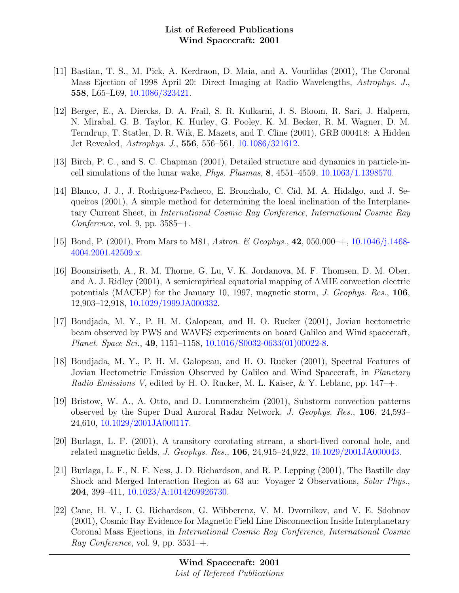- [11] Bastian, T. S., M. Pick, A. Kerdraon, D. Maia, and A. Vourlidas (2001), The Coronal Mass Ejection of 1998 April 20: Direct Imaging at Radio Wavelengths, Astrophys. J., 558, L65–L69, [10.1086/323421.](http://dx.doi.org/10.1086/323421)
- [12] Berger, E., A. Diercks, D. A. Frail, S. R. Kulkarni, J. S. Bloom, R. Sari, J. Halpern, N. Mirabal, G. B. Taylor, K. Hurley, G. Pooley, K. M. Becker, R. M. Wagner, D. M. Terndrup, T. Statler, D. R. Wik, E. Mazets, and T. Cline (2001), GRB 000418: A Hidden Jet Revealed, Astrophys. J., 556, 556–561, [10.1086/321612.](http://dx.doi.org/10.1086/321612)
- [13] Birch, P. C., and S. C. Chapman (2001), Detailed structure and dynamics in particle-incell simulations of the lunar wake, Phys. Plasmas, 8, 4551–4559, [10.1063/1.1398570.](http://dx.doi.org/10.1063/1.1398570)
- [14] Blanco, J. J., J. Rodriguez-Pacheco, E. Bronchalo, C. Cid, M. A. Hidalgo, and J. Sequeiros (2001), A simple method for determining the local inclination of the Interplanetary Current Sheet, in International Cosmic Ray Conference, International Cosmic Ray Conference, vol. 9, pp.  $3585$ –+.
- [15] Bond, P. (2001), From Mars to M81, Astron. & Geophys., 42, 050,000–+, [10.1046/j.1468-](http://dx.doi.org/10.1046/j.1468-4004.2001.42509.x) [4004.2001.42509.x.](http://dx.doi.org/10.1046/j.1468-4004.2001.42509.x)
- [16] Boonsiriseth, A., R. M. Thorne, G. Lu, V. K. Jordanova, M. F. Thomsen, D. M. Ober, and A. J. Ridley (2001), A semiempirical equatorial mapping of AMIE convection electric potentials (MACEP) for the January 10, 1997, magnetic storm, J. Geophys. Res., 106, 12,903–12,918, [10.1029/1999JA000332.](http://dx.doi.org/10.1029/1999JA000332)
- [17] Boudjada, M. Y., P. H. M. Galopeau, and H. O. Rucker (2001), Jovian hectometric beam observed by PWS and WAVES experiments on board Galileo and Wind spacecraft, Planet. Space Sci., 49, 1151–1158, [10.1016/S0032-0633\(01\)00022-8.](http://dx.doi.org/10.1016/S0032-0633(01)00022-8)
- [18] Boudjada, M. Y., P. H. M. Galopeau, and H. O. Rucker (2001), Spectral Features of Jovian Hectometric Emission Observed by Galileo and Wind Spacecraft, in *Planetary* Radio Emissions V, edited by H. O. Rucker, M. L. Kaiser, & Y. Leblanc, pp.  $147 - +$ .
- [19] Bristow, W. A., A. Otto, and D. Lummerzheim (2001), Substorm convection patterns observed by the Super Dual Auroral Radar Network, J. Geophys. Res., 106, 24,593– 24,610, [10.1029/2001JA000117.](http://dx.doi.org/10.1029/2001JA000117)
- [20] Burlaga, L. F. (2001), A transitory corotating stream, a short-lived coronal hole, and related magnetic fields, J. Geophys. Res., 106, 24,915–24,922, [10.1029/2001JA000043.](http://dx.doi.org/10.1029/2001JA000043)
- [21] Burlaga, L. F., N. F. Ness, J. D. Richardson, and R. P. Lepping (2001), The Bastille day Shock and Merged Interaction Region at 63 au: Voyager 2 Observations, Solar Phys., 204, 399–411, [10.1023/A:1014269926730.](http://dx.doi.org/10.1023/A:1014269926730)
- [22] Cane, H. V., I. G. Richardson, G. Wibberenz, V. M. Dvornikov, and V. E. Sdobnov (2001), Cosmic Ray Evidence for Magnetic Field Line Disconnection Inside Interplanetary Coronal Mass Ejections, in International Cosmic Ray Conference, International Cosmic Ray Conference, vol. 9, pp.  $3531$ –+.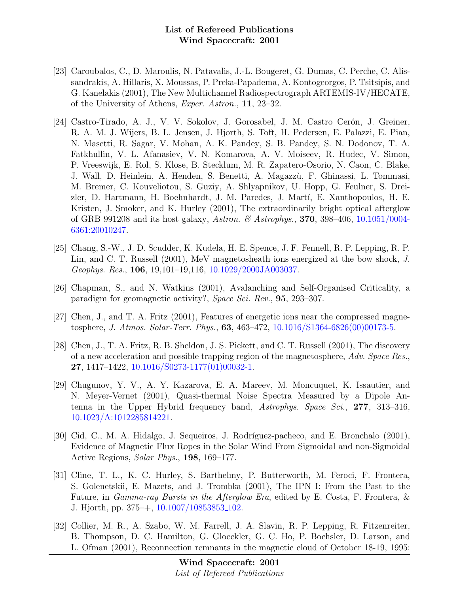- [23] Caroubalos, C., D. Maroulis, N. Patavalis, J.-L. Bougeret, G. Dumas, C. Perche, C. Alissandrakis, A. Hillaris, X. Moussas, P. Preka-Papadema, A. Kontogeorgos, P. Tsitsipis, and G. Kanelakis (2001), The New Multichannel Radiospectrograph ARTEMIS-IV/HECATE, of the University of Athens, Exper. Astron., 11, 23–32.
- [24] Castro-Tirado, A. J., V. V. Sokolov, J. Gorosabel, J. M. Castro Cerón, J. Greiner, R. A. M. J. Wijers, B. L. Jensen, J. Hjorth, S. Toft, H. Pedersen, E. Palazzi, E. Pian, N. Masetti, R. Sagar, V. Mohan, A. K. Pandey, S. B. Pandey, S. N. Dodonov, T. A. Fatkhullin, V. L. Afanasiev, V. N. Komarova, A. V. Moiseev, R. Hudec, V. Simon, P. Vreeswijk, E. Rol, S. Klose, B. Stecklum, M. R. Zapatero-Osorio, N. Caon, C. Blake, J. Wall, D. Heinlein, A. Henden, S. Benetti, A. Magazz`u, F. Ghinassi, L. Tommasi, M. Bremer, C. Kouveliotou, S. Guziy, A. Shlyapnikov, U. Hopp, G. Feulner, S. Dreizler, D. Hartmann, H. Boehnhardt, J. M. Paredes, J. Martí, E. Xanthopoulos, H. E. Kristen, J. Smoker, and K. Hurley (2001), The extraordinarily bright optical afterglow of GRB 991208 and its host galaxy, Astron. & Astrophys., 370, 398–406, [10.1051/0004-](http://dx.doi.org/10.1051/0004-6361:20010247) [6361:20010247.](http://dx.doi.org/10.1051/0004-6361:20010247)
- [25] Chang, S.-W., J. D. Scudder, K. Kudela, H. E. Spence, J. F. Fennell, R. P. Lepping, R. P. Lin, and C. T. Russell (2001), MeV magnetosheath ions energized at the bow shock, J. Geophys. Res., 106, 19,101–19,116, [10.1029/2000JA003037.](http://dx.doi.org/10.1029/2000JA003037)
- [26] Chapman, S., and N. Watkins (2001), Avalanching and Self-Organised Criticality, a paradigm for geomagnetic activity?, Space Sci. Rev., 95, 293–307.
- [27] Chen, J., and T. A. Fritz (2001), Features of energetic ions near the compressed magnetosphere, *J. Atmos. Solar-Terr. Phys.*, **63**, 463–472, [10.1016/S1364-6826\(00\)00173-5.](http://dx.doi.org/10.1016/S1364-6826(00)00173-5)
- [28] Chen, J., T. A. Fritz, R. B. Sheldon, J. S. Pickett, and C. T. Russell (2001), The discovery of a new acceleration and possible trapping region of the magnetosphere, Adv. Space Res., 27, 1417–1422, [10.1016/S0273-1177\(01\)00032-1.](http://dx.doi.org/10.1016/S0273-1177(01)00032-1)
- [29] Chugunov, Y. V., A. Y. Kazarova, E. A. Mareev, M. Moncuquet, K. Issautier, and N. Meyer-Vernet (2001), Quasi-thermal Noise Spectra Measured by a Dipole Antenna in the Upper Hybrid frequency band, Astrophys. Space Sci., 277, 313–316, [10.1023/A:1012285814221.](http://dx.doi.org/10.1023/A:1012285814221)
- [30] Cid, C., M. A. Hidalgo, J. Sequeiros, J. Rodríguez-pacheco, and E. Bronchalo (2001), Evidence of Magnetic Flux Ropes in the Solar Wind From Sigmoidal and non-Sigmoidal Active Regions, Solar Phys., 198, 169–177.
- [31] Cline, T. L., K. C. Hurley, S. Barthelmy, P. Butterworth, M. Feroci, F. Frontera, S. Golenetskii, E. Mazets, and J. Trombka (2001), The IPN I: From the Past to the Future, in Gamma-ray Bursts in the Afterglow Era, edited by E. Costa, F. Frontera, & J. Hjorth, pp. 375–+, [10.1007/10853853](http://dx.doi.org/10.1007/10853853_102) 102.
- [32] Collier, M. R., A. Szabo, W. M. Farrell, J. A. Slavin, R. P. Lepping, R. Fitzenreiter, B. Thompson, D. C. Hamilton, G. Gloeckler, G. C. Ho, P. Bochsler, D. Larson, and L. Ofman (2001), Reconnection remnants in the magnetic cloud of October 18-19, 1995: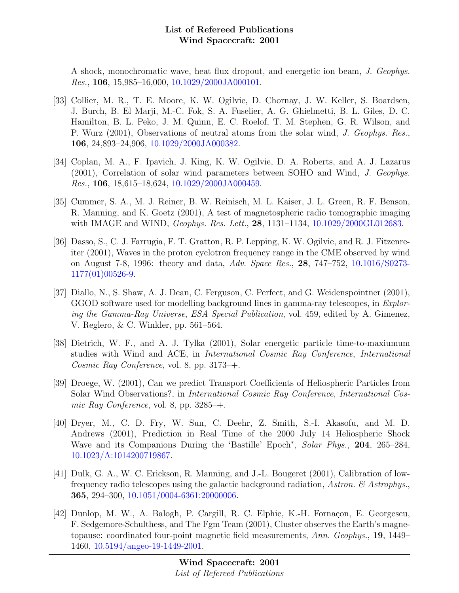A shock, monochromatic wave, heat flux dropout, and energetic ion beam, J. Geophys. Res., 106, 15,985–16,000, [10.1029/2000JA000101.](http://dx.doi.org/10.1029/2000JA000101)

- [33] Collier, M. R., T. E. Moore, K. W. Ogilvie, D. Chornay, J. W. Keller, S. Boardsen, J. Burch, B. El Marji, M.-C. Fok, S. A. Fuselier, A. G. Ghielmetti, B. L. Giles, D. C. Hamilton, B. L. Peko, J. M. Quinn, E. C. Roelof, T. M. Stephen, G. R. Wilson, and P. Wurz (2001), Observations of neutral atoms from the solar wind, J. Geophys. Res., 106, 24,893–24,906, [10.1029/2000JA000382.](http://dx.doi.org/10.1029/2000JA000382)
- [34] Coplan, M. A., F. Ipavich, J. King, K. W. Ogilvie, D. A. Roberts, and A. J. Lazarus (2001), Correlation of solar wind parameters between SOHO and Wind, J. Geophys. Res., 106, 18,615–18,624, [10.1029/2000JA000459.](http://dx.doi.org/10.1029/2000JA000459)
- [35] Cummer, S. A., M. J. Reiner, B. W. Reinisch, M. L. Kaiser, J. L. Green, R. F. Benson, R. Manning, and K. Goetz (2001), A test of magnetospheric radio tomographic imaging with IMAGE and WIND, *Geophys. Res. Lett.*, **28**, 1131–1134, [10.1029/2000GL012683.](http://dx.doi.org/10.1029/2000GL012683)
- [36] Dasso, S., C. J. Farrugia, F. T. Gratton, R. P. Lepping, K. W. Ogilvie, and R. J. Fitzenreiter (2001), Waves in the proton cyclotron frequency range in the CME observed by wind on August 7-8, 1996: theory and data, Adv. Space Res., 28, 747–752, [10.1016/S0273-](http://dx.doi.org/10.1016/S0273-1177(01)00526-9) [1177\(01\)00526-9.](http://dx.doi.org/10.1016/S0273-1177(01)00526-9)
- [37] Diallo, N., S. Shaw, A. J. Dean, C. Ferguson, C. Perfect, and G. Weidenspointner (2001), GGOD software used for modelling background lines in gamma-ray telescopes, in Exploring the Gamma-Ray Universe, ESA Special Publication, vol. 459, edited by A. Gimenez, V. Reglero, & C. Winkler, pp. 561–564.
- [38] Dietrich, W. F., and A. J. Tylka (2001), Solar energetic particle time-to-maxiumum studies with Wind and ACE, in International Cosmic Ray Conference, International Cosmic Ray Conference, vol. 8, pp. 3173–+.
- [39] Droege, W. (2001), Can we predict Transport Coefficients of Heliospheric Particles from Solar Wind Observations?, in International Cosmic Ray Conference, International Cosmic Ray Conference, vol. 8, pp.  $3285$ –+.
- [40] Dryer, M., C. D. Fry, W. Sun, C. Deehr, Z. Smith, S.-I. Akasofu, and M. D. Andrews (2001), Prediction in Real Time of the 2000 July 14 Heliospheric Shock Wave and its Companions During the 'Bastille' Epoch<sup>\*</sup>, Solar Phys., 204, 265–284, [10.1023/A:1014200719867.](http://dx.doi.org/10.1023/A:1014200719867)
- [41] Dulk, G. A., W. C. Erickson, R. Manning, and J.-L. Bougeret (2001), Calibration of lowfrequency radio telescopes using the galactic background radiation, Astron.  $\mathcal{C}$  Astrophys. 365, 294–300, [10.1051/0004-6361:20000006.](http://dx.doi.org/10.1051/0004-6361:20000006)
- [42] Dunlop, M. W., A. Balogh, P. Cargill, R. C. Elphic, K.-H. Fornaçon, E. Georgescu, F. Sedgemore-Schulthess, and The Fgm Team (2001), Cluster observes the Earth's magnetopause: coordinated four-point magnetic field measurements, Ann. Geophys., 19, 1449– 1460, [10.5194/angeo-19-1449-2001.](http://dx.doi.org/10.5194/angeo-19-1449-2001)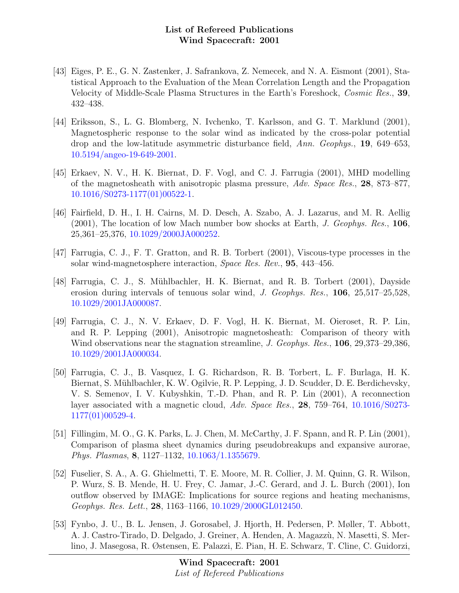- [43] Eiges, P. E., G. N. Zastenker, J. Safrankova, Z. Nemecek, and N. A. Eismont (2001), Statistical Approach to the Evaluation of the Mean Correlation Length and the Propagation Velocity of Middle-Scale Plasma Structures in the Earth's Foreshock, Cosmic Res., 39, 432–438.
- [44] Eriksson, S., L. G. Blomberg, N. Ivchenko, T. Karlsson, and G. T. Marklund (2001), Magnetospheric response to the solar wind as indicated by the cross-polar potential drop and the low-latitude asymmetric disturbance field, Ann. Geophys., 19, 649–653, [10.5194/angeo-19-649-2001.](http://dx.doi.org/10.5194/angeo-19-649-2001)
- [45] Erkaev, N. V., H. K. Biernat, D. F. Vogl, and C. J. Farrugia (2001), MHD modelling of the magnetosheath with anisotropic plasma pressure, Adv. Space Res., 28, 873–877, [10.1016/S0273-1177\(01\)00522-1.](http://dx.doi.org/10.1016/S0273-1177(01)00522-1)
- [46] Fairfield, D. H., I. H. Cairns, M. D. Desch, A. Szabo, A. J. Lazarus, and M. R. Aellig  $(2001)$ , The location of low Mach number bow shocks at Earth, *J. Geophys. Res.*, 106, 25,361–25,376, [10.1029/2000JA000252.](http://dx.doi.org/10.1029/2000JA000252)
- [47] Farrugia, C. J., F. T. Gratton, and R. B. Torbert (2001), Viscous-type processes in the solar wind-magnetosphere interaction, Space Res. Rev., 95, 443–456.
- [48] Farrugia, C. J., S. M¨uhlbachler, H. K. Biernat, and R. B. Torbert (2001), Dayside erosion during intervals of tenuous solar wind, J. Geophys. Res., 106, 25,517–25,528, [10.1029/2001JA000087.](http://dx.doi.org/10.1029/2001JA000087)
- [49] Farrugia, C. J., N. V. Erkaev, D. F. Vogl, H. K. Biernat, M. Oieroset, R. P. Lin, and R. P. Lepping (2001), Anisotropic magnetosheath: Comparison of theory with Wind observations near the stagnation streamline, J. Geophys. Res., 106, 29,373–29,386, [10.1029/2001JA000034.](http://dx.doi.org/10.1029/2001JA000034)
- [50] Farrugia, C. J., B. Vasquez, I. G. Richardson, R. B. Torbert, L. F. Burlaga, H. K. Biernat, S. Mühlbachler, K. W. Ogilvie, R. P. Lepping, J. D. Scudder, D. E. Berdichevsky, V. S. Semenov, I. V. Kubyshkin, T.-D. Phan, and R. P. Lin (2001), A reconnection layer associated with a magnetic cloud, Adv. Space Res., 28, 759–764, [10.1016/S0273-](http://dx.doi.org/10.1016/S0273-1177(01)00529-4) [1177\(01\)00529-4.](http://dx.doi.org/10.1016/S0273-1177(01)00529-4)
- [51] Fillingim, M. O., G. K. Parks, L. J. Chen, M. McCarthy, J. F. Spann, and R. P. Lin (2001), Comparison of plasma sheet dynamics during pseudobreakups and expansive aurorae, Phys. Plasmas, 8, 1127–1132, [10.1063/1.1355679.](http://dx.doi.org/10.1063/1.1355679)
- [52] Fuselier, S. A., A. G. Ghielmetti, T. E. Moore, M. R. Collier, J. M. Quinn, G. R. Wilson, P. Wurz, S. B. Mende, H. U. Frey, C. Jamar, J.-C. Gerard, and J. L. Burch (2001), Ion outflow observed by IMAGE: Implications for source regions and heating mechanisms, Geophys. Res. Lett., 28, 1163–1166, [10.1029/2000GL012450.](http://dx.doi.org/10.1029/2000GL012450)
- [53] Fynbo, J. U., B. L. Jensen, J. Gorosabel, J. Hjorth, H. Pedersen, P. Møller, T. Abbott, A. J. Castro-Tirado, D. Delgado, J. Greiner, A. Henden, A. Magazzù, N. Masetti, S. Merlino, J. Masegosa, R. Østensen, E. Palazzi, E. Pian, H. E. Schwarz, T. Cline, C. Guidorzi,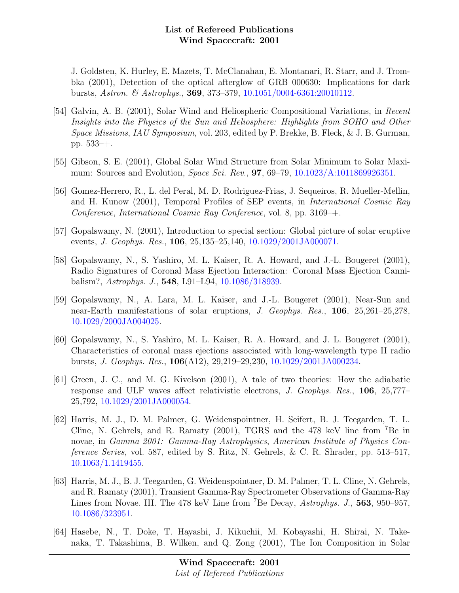J. Goldsten, K. Hurley, E. Mazets, T. McClanahan, E. Montanari, R. Starr, and J. Trombka (2001), Detection of the optical afterglow of GRB 000630: Implications for dark bursts, Astron. & Astrophys., 369, 373–379, [10.1051/0004-6361:20010112.](http://dx.doi.org/10.1051/0004-6361:20010112)

- [54] Galvin, A. B. (2001), Solar Wind and Heliospheric Compositional Variations, in Recent Insights into the Physics of the Sun and Heliosphere: Highlights from SOHO and Other Space Missions, IAU Symposium, vol. 203, edited by P. Brekke, B. Fleck, & J. B. Gurman, pp. 533–+.
- [55] Gibson, S. E. (2001), Global Solar Wind Structure from Solar Minimum to Solar Maximum: Sources and Evolution, Space Sci. Rev., **97**, 69–79, [10.1023/A:1011869926351.](http://dx.doi.org/10.1023/A:1011869926351)
- [56] Gomez-Herrero, R., L. del Peral, M. D. Rodriguez-Frias, J. Sequeiros, R. Mueller-Mellin, and H. Kunow (2001), Temporal Profiles of SEP events, in International Cosmic Ray Conference, International Cosmic Ray Conference, vol. 8, pp. 3169–+.
- [57] Gopalswamy, N. (2001), Introduction to special section: Global picture of solar eruptive events, J. Geophys. Res., 106, 25,135–25,140, [10.1029/2001JA000071.](http://dx.doi.org/10.1029/2001JA000071)
- [58] Gopalswamy, N., S. Yashiro, M. L. Kaiser, R. A. Howard, and J.-L. Bougeret (2001), Radio Signatures of Coronal Mass Ejection Interaction: Coronal Mass Ejection Cannibalism?, Astrophys. J., 548, L91–L94, [10.1086/318939.](http://dx.doi.org/10.1086/318939)
- [59] Gopalswamy, N., A. Lara, M. L. Kaiser, and J.-L. Bougeret (2001), Near-Sun and near-Earth manifestations of solar eruptions, J. Geophys. Res., 106, 25,261–25,278, [10.1029/2000JA004025.](http://dx.doi.org/10.1029/2000JA004025)
- [60] Gopalswamy, N., S. Yashiro, M. L. Kaiser, R. A. Howard, and J. L. Bougeret (2001), Characteristics of coronal mass ejections associated with long-wavelength type II radio bursts, J. Geophys. Res., 106(A12), 29,219–29,230, [10.1029/2001JA000234.](http://dx.doi.org/10.1029/2001JA000234)
- [61] Green, J. C., and M. G. Kivelson (2001), A tale of two theories: How the adiabatic response and ULF waves affect relativistic electrons, J. Geophys. Res., 106, 25,777– 25,792, [10.1029/2001JA000054.](http://dx.doi.org/10.1029/2001JA000054)
- [62] Harris, M. J., D. M. Palmer, G. Weidenspointner, H. Seifert, B. J. Teegarden, T. L. Cline, N. Gehrels, and R. Ramaty (2001), TGRS and the 478 keV line from <sup>7</sup>Be in novae, in Gamma 2001: Gamma-Ray Astrophysics, American Institute of Physics Conference Series, vol. 587, edited by S. Ritz, N. Gehrels, & C. R. Shrader, pp. 513–517, [10.1063/1.1419455.](http://dx.doi.org/10.1063/1.1419455)
- [63] Harris, M. J., B. J. Teegarden, G. Weidenspointner, D. M. Palmer, T. L. Cline, N. Gehrels, and R. Ramaty (2001), Transient Gamma-Ray Spectrometer Observations of Gamma-Ray Lines from Novae. III. The 478 keV Line from <sup>7</sup>Be Decay, *Astrophys. J.*, **563**, 950–957, [10.1086/323951.](http://dx.doi.org/10.1086/323951)
- [64] Hasebe, N., T. Doke, T. Hayashi, J. Kikuchii, M. Kobayashi, H. Shirai, N. Takenaka, T. Takashima, B. Wilken, and Q. Zong (2001), The Ion Composition in Solar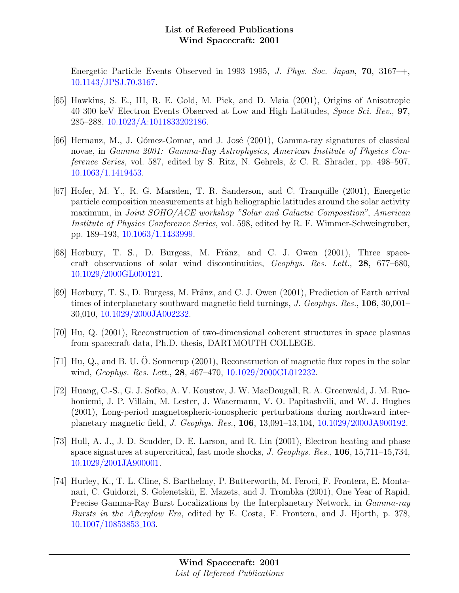Energetic Particle Events Observed in 1993 1995, J. Phys. Soc. Japan, 70, 3167–+, [10.1143/JPSJ.70.3167.](http://dx.doi.org/10.1143/JPSJ.70.3167)

- [65] Hawkins, S. E., III, R. E. Gold, M. Pick, and D. Maia (2001), Origins of Anisotropic 40 300 keV Electron Events Observed at Low and High Latitudes, Space Sci. Rev., 97, 285–288, [10.1023/A:1011833202186.](http://dx.doi.org/10.1023/A:1011833202186)
- [66] Hernanz, M., J. Gómez-Gomar, and J. José (2001), Gamma-ray signatures of classical novae, in Gamma 2001: Gamma-Ray Astrophysics, American Institute of Physics Conference Series, vol. 587, edited by S. Ritz, N. Gehrels, & C. R. Shrader, pp. 498–507, [10.1063/1.1419453.](http://dx.doi.org/10.1063/1.1419453)
- [67] Hofer, M. Y., R. G. Marsden, T. R. Sanderson, and C. Tranquille (2001), Energetic particle composition measurements at high heliographic latitudes around the solar activity maximum, in Joint SOHO/ACE workshop "Solar and Galactic Composition", American Institute of Physics Conference Series, vol. 598, edited by R. F. Wimmer-Schweingruber, pp. 189–193, [10.1063/1.1433999.](http://dx.doi.org/10.1063/1.1433999)
- $[68]$  Horbury, T. S., D. Burgess, M. Fränz, and C. J. Owen  $(2001)$ , Three spacecraft observations of solar wind discontinuities, Geophys. Res. Lett., 28, 677–680, [10.1029/2000GL000121.](http://dx.doi.org/10.1029/2000GL000121)
- [69] Horbury, T. S., D. Burgess, M. Fränz, and C. J. Owen (2001), Prediction of Earth arrival times of interplanetary southward magnetic field turnings, J. Geophys. Res., 106, 30,001– 30,010, [10.1029/2000JA002232.](http://dx.doi.org/10.1029/2000JA002232)
- [70] Hu, Q. (2001), Reconstruction of two-dimensional coherent structures in space plasmas from spacecraft data, Ph.D. thesis, DARTMOUTH COLLEGE.
- [71] Hu, Q., and B. U. O. Sonnerup (2001), Reconstruction of magnetic flux ropes in the solar wind, Geophys. Res. Lett., 28, 467-470, [10.1029/2000GL012232.](http://dx.doi.org/10.1029/2000GL012232)
- [72] Huang, C.-S., G. J. Sofko, A. V. Koustov, J. W. MacDougall, R. A. Greenwald, J. M. Ruohoniemi, J. P. Villain, M. Lester, J. Watermann, V. O. Papitashvili, and W. J. Hughes (2001), Long-period magnetospheric-ionospheric perturbations during northward interplanetary magnetic field, J. Geophys. Res., 106, 13,091–13,104, [10.1029/2000JA900192.](http://dx.doi.org/10.1029/2000JA900192)
- [73] Hull, A. J., J. D. Scudder, D. E. Larson, and R. Lin (2001), Electron heating and phase space signatures at supercritical, fast mode shocks, J. Geophys. Res., 106, 15,711–15,734, [10.1029/2001JA900001.](http://dx.doi.org/10.1029/2001JA900001)
- [74] Hurley, K., T. L. Cline, S. Barthelmy, P. Butterworth, M. Feroci, F. Frontera, E. Montanari, C. Guidorzi, S. Golenetskii, E. Mazets, and J. Trombka (2001), One Year of Rapid, Precise Gamma-Ray Burst Localizations by the Interplanetary Network, in Gamma-ray Bursts in the Afterglow Era, edited by E. Costa, F. Frontera, and J. Hjorth, p. 378, [10.1007/10853853](http://dx.doi.org/10.1007/10853853_103) 103.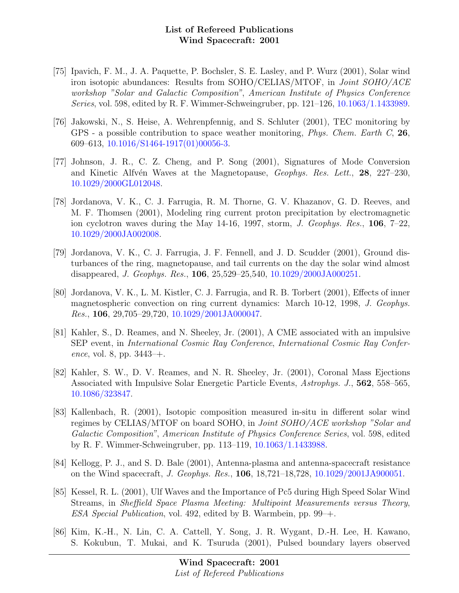- [75] Ipavich, F. M., J. A. Paquette, P. Bochsler, S. E. Lasley, and P. Wurz (2001), Solar wind iron isotopic abundances: Results from SOHO/CELIAS/MTOF, in Joint SOHO/ACE workshop "Solar and Galactic Composition", American Institute of Physics Conference Series, vol. 598, edited by R. F. Wimmer-Schweingruber, pp. 121–126, [10.1063/1.1433989.](http://dx.doi.org/10.1063/1.1433989)
- [76] Jakowski, N., S. Heise, A. Wehrenpfennig, and S. Schluter (2001), TEC monitoring by GPS - a possible contribution to space weather monitoring, Phys. Chem. Earth C, 26, 609–613, [10.1016/S1464-1917\(01\)00056-3.](http://dx.doi.org/10.1016/S1464-1917(01)00056-3)
- [77] Johnson, J. R., C. Z. Cheng, and P. Song (2001), Signatures of Mode Conversion and Kinetic Alfvén Waves at the Magnetopause, *Geophys. Res. Lett.*, **28**, 227–230, [10.1029/2000GL012048.](http://dx.doi.org/10.1029/2000GL012048)
- [78] Jordanova, V. K., C. J. Farrugia, R. M. Thorne, G. V. Khazanov, G. D. Reeves, and M. F. Thomsen (2001), Modeling ring current proton precipitation by electromagnetic ion cyclotron waves during the May 14-16, 1997, storm, J. Geophys. Res., 106, 7–22, [10.1029/2000JA002008.](http://dx.doi.org/10.1029/2000JA002008)
- [79] Jordanova, V. K., C. J. Farrugia, J. F. Fennell, and J. D. Scudder (2001), Ground disturbances of the ring, magnetopause, and tail currents on the day the solar wind almost disappeared, J. Geophys. Res., 106, 25,529–25,540, [10.1029/2000JA000251.](http://dx.doi.org/10.1029/2000JA000251)
- [80] Jordanova, V. K., L. M. Kistler, C. J. Farrugia, and R. B. Torbert (2001), Effects of inner magnetospheric convection on ring current dynamics: March 10-12, 1998, J. Geophys. Res., 106, 29,705–29,720, [10.1029/2001JA000047.](http://dx.doi.org/10.1029/2001JA000047)
- [81] Kahler, S., D. Reames, and N. Sheeley, Jr. (2001), A CME associated with an impulsive SEP event, in International Cosmic Ray Conference, International Cosmic Ray Conference, vol. 8, pp.  $3443-+$ .
- [82] Kahler, S. W., D. V. Reames, and N. R. Sheeley, Jr. (2001), Coronal Mass Ejections Associated with Impulsive Solar Energetic Particle Events, Astrophys. J., 562, 558–565, [10.1086/323847.](http://dx.doi.org/10.1086/323847)
- [83] Kallenbach, R. (2001), Isotopic composition measured in-situ in different solar wind regimes by CELIAS/MTOF on board SOHO, in Joint SOHO/ACE workshop "Solar and Galactic Composition", American Institute of Physics Conference Series, vol. 598, edited by R. F. Wimmer-Schweingruber, pp. 113–119, [10.1063/1.1433988.](http://dx.doi.org/10.1063/1.1433988)
- [84] Kellogg, P. J., and S. D. Bale (2001), Antenna-plasma and antenna-spacecraft resistance on the Wind spacecraft, J. Geophys. Res., 106, 18,721–18,728, [10.1029/2001JA900051.](http://dx.doi.org/10.1029/2001JA900051)
- [85] Kessel, R. L. (2001), Ulf Waves and the Importance of Pc5 during High Speed Solar Wind Streams, in Sheffield Space Plasma Meeting: Multipoint Measurements versus Theory, ESA Special Publication, vol. 492, edited by B. Warmbein, pp. 99–+.
- [86] Kim, K.-H., N. Lin, C. A. Cattell, Y. Song, J. R. Wygant, D.-H. Lee, H. Kawano, S. Kokubun, T. Mukai, and K. Tsuruda (2001), Pulsed boundary layers observed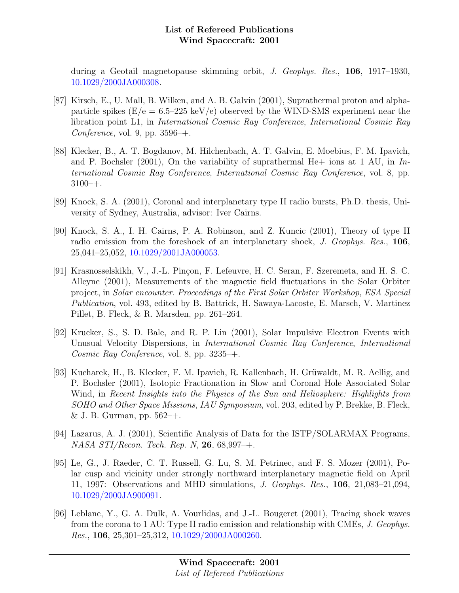during a Geotail magnetopause skimming orbit, J. Geophys. Res., 106, 1917–1930, [10.1029/2000JA000308.](http://dx.doi.org/10.1029/2000JA000308)

- [87] Kirsch, E., U. Mall, B. Wilken, and A. B. Galvin (2001), Suprathermal proton and alphaparticle spikes ( $E/e = 6.5-225 \text{ keV/e}$ ) observed by the WIND-SMS experiment near the libration point L1, in International Cosmic Ray Conference, International Cosmic Ray Conference, vol. 9, pp.  $3596 +$ .
- [88] Klecker, B., A. T. Bogdanov, M. Hilchenbach, A. T. Galvin, E. Moebius, F. M. Ipavich, and P. Bochsler (2001), On the variability of suprathermal He $+$  ions at 1 AU, in International Cosmic Ray Conference, International Cosmic Ray Conference, vol. 8, pp.  $3100-+$ .
- [89] Knock, S. A. (2001), Coronal and interplanetary type II radio bursts, Ph.D. thesis, University of Sydney, Australia, advisor: Iver Cairns.
- [90] Knock, S. A., I. H. Cairns, P. A. Robinson, and Z. Kuncic (2001), Theory of type II radio emission from the foreshock of an interplanetary shock, J. Geophys. Res., 106, 25,041–25,052, [10.1029/2001JA000053.](http://dx.doi.org/10.1029/2001JA000053)
- [91] Krasnosselskikh, V., J.-L. Pinçon, F. Lefeuvre, H. C. Seran, F. Szeremeta, and H. S. C. Alleyne (2001), Measurements of the magnetic field fluctuations in the Solar Orbiter project, in Solar encounter. Proceedings of the First Solar Orbiter Workshop, ESA Special Publication, vol. 493, edited by B. Battrick, H. Sawaya-Lacoste, E. Marsch, V. Martinez Pillet, B. Fleck, & R. Marsden, pp. 261–264.
- [92] Krucker, S., S. D. Bale, and R. P. Lin (2001), Solar Impulsive Electron Events with Unusual Velocity Dispersions, in International Cosmic Ray Conference, International Cosmic Ray Conference, vol. 8, pp. 3235–+.
- [93] Kucharek, H., B. Klecker, F. M. Ipavich, R. Kallenbach, H. Grüwaldt, M. R. Aellig, and P. Bochsler (2001), Isotopic Fractionation in Slow and Coronal Hole Associated Solar Wind, in Recent Insights into the Physics of the Sun and Heliosphere: Highlights from SOHO and Other Space Missions, IAU Symposium, vol. 203, edited by P. Brekke, B. Fleck, & J. B. Gurman, pp.  $562-+$ .
- [94] Lazarus, A. J. (2001), Scientific Analysis of Data for the ISTP/SOLARMAX Programs,  $NASA$   $STI/Recon.$  Tech. Rep. N, **26**, 68,997-+.
- [95] Le, G., J. Raeder, C. T. Russell, G. Lu, S. M. Petrinec, and F. S. Mozer (2001), Polar cusp and vicinity under strongly northward interplanetary magnetic field on April 11, 1997: Observations and MHD simulations, J. Geophys. Res., 106, 21,083–21,094, [10.1029/2000JA900091.](http://dx.doi.org/10.1029/2000JA900091)
- [96] Leblanc, Y., G. A. Dulk, A. Vourlidas, and J.-L. Bougeret (2001), Tracing shock waves from the corona to 1 AU: Type II radio emission and relationship with CMEs, J. Geophys. Res., 106, 25,301–25,312, [10.1029/2000JA000260.](http://dx.doi.org/10.1029/2000JA000260)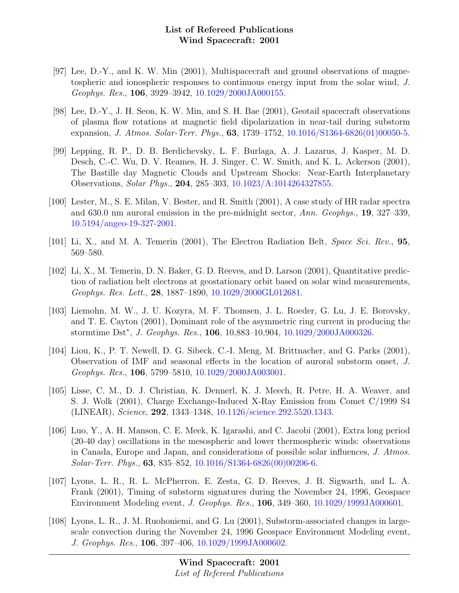- [97] Lee, D.-Y., and K. W. Min (2001), Multispacecraft and ground observations of magnetospheric and ionospheric responses to continuous energy input from the solar wind, J. Geophys. Res., 106, 3929–3942, [10.1029/2000JA000155.](http://dx.doi.org/10.1029/2000JA000155)
- [98] Lee, D.-Y., J. H. Seon, K. W. Min, and S. H. Bae (2001), Geotail spacecraft observations of plasma flow rotations at magnetic field dipolarization in near-tail during substorm expansion, J. Atmos. Solar-Terr. Phys., 63, 1739–1752, [10.1016/S1364-6826\(01\)00050-5.](http://dx.doi.org/10.1016/S1364-6826(01)00050-5)
- [99] Lepping, R. P., D. B. Berdichevsky, L. F. Burlaga, A. J. Lazarus, J. Kasper, M. D. Desch, C.-C. Wu, D. V. Reames, H. J. Singer, C. W. Smith, and K. L. Ackerson (2001), The Bastille day Magnetic Clouds and Upstream Shocks: Near-Earth Interplanetary Observations, Solar Phys., 204, 285–303, [10.1023/A:1014264327855.](http://dx.doi.org/10.1023/A:1014264327855)
- [100] Lester, M., S. E. Milan, V. Bester, and R. Smith (2001), A case study of HR radar spectra and 630.0 nm auroral emission in the pre-midnight sector, Ann. Geophys., 19, 327–339, [10.5194/angeo-19-327-2001.](http://dx.doi.org/10.5194/angeo-19-327-2001)
- [101] Li, X., and M. A. Temerin (2001), The Electron Radiation Belt, Space Sci. Rev., 95, 569–580.
- [102] Li, X., M. Temerin, D. N. Baker, G. D. Reeves, and D. Larson (2001), Quantitative prediction of radiation belt electrons at geostationary orbit based on solar wind measurements, Geophys. Res. Lett., 28, 1887–1890, [10.1029/2000GL012681.](http://dx.doi.org/10.1029/2000GL012681)
- [103] Liemohn, M. W., J. U. Kozyra, M. F. Thomsen, J. L. Roeder, G. Lu, J. E. Borovsky, and T. E. Cayton (2001), Dominant role of the asymmetric ring current in producing the stormtime Dst<sup>\*</sup>, *J. Geophys. Res.*, **106**, 10,883–10,904, [10.1029/2000JA000326.](http://dx.doi.org/10.1029/2000JA000326)
- [104] Liou, K., P. T. Newell, D. G. Sibeck, C.-I. Meng, M. Brittnacher, and G. Parks (2001), Observation of IMF and seasonal effects in the location of auroral substorm onset, J. Geophys. Res., 106, 5799–5810, [10.1029/2000JA003001.](http://dx.doi.org/10.1029/2000JA003001)
- [105] Lisse, C. M., D. J. Christian, K. Dennerl, K. J. Meech, R. Petre, H. A. Weaver, and S. J. Wolk (2001), Charge Exchange-Induced X-Ray Emission from Comet C/1999 S4 (LINEAR), Science, 292, 1343–1348, [10.1126/science.292.5520.1343.](http://dx.doi.org/10.1126/science.292.5520.1343)
- [106] Luo, Y., A. H. Manson, C. E. Meek, K. Igarashi, and C. Jacobi (2001), Extra long period (20-40 day) oscillations in the mesospheric and lower thermospheric winds: observations in Canada, Europe and Japan, and considerations of possible solar influences, J. Atmos. Solar-Terr. Phys., 63, 835–852, [10.1016/S1364-6826\(00\)00206-6.](http://dx.doi.org/10.1016/S1364-6826(00)00206-6)
- [107] Lyons, L. R., R. L. McPherron, E. Zesta, G. D. Reeves, J. B. Sigwarth, and L. A. Frank (2001), Timing of substorm signatures during the November 24, 1996, Geospace Environment Modeling event, J. Geophys. Res., 106, 349–360, [10.1029/1999JA000601.](http://dx.doi.org/10.1029/1999JA000601)
- [108] Lyons, L. R., J. M. Ruohoniemi, and G. Lu (2001), Substorm-associated changes in largescale convection during the November 24, 1996 Geospace Environment Modeling event, J. Geophys. Res., 106, 397–406, [10.1029/1999JA000602.](http://dx.doi.org/10.1029/1999JA000602)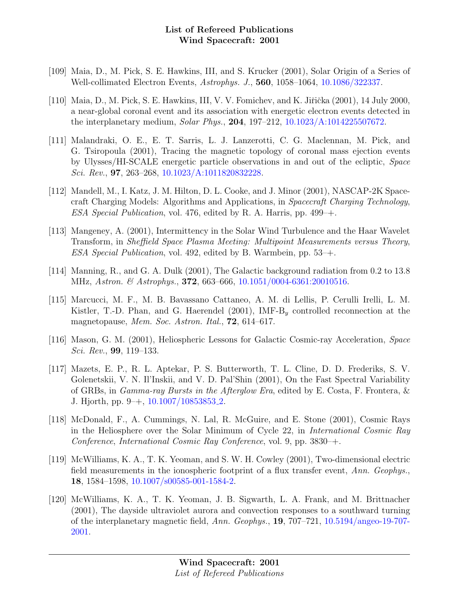- [109] Maia, D., M. Pick, S. E. Hawkins, III, and S. Krucker (2001), Solar Origin of a Series of Well-collimated Electron Events, Astrophys. J., 560, 1058–1064, [10.1086/322337.](http://dx.doi.org/10.1086/322337)
- [110] Maia, D., M. Pick, S. E. Hawkins, III, V. V. Fomichev, and K. Jiřička (2001), 14 July 2000, a near-global coronal event and its association with energetic electron events detected in the interplanetary medium, Solar Phys., 204, 197–212, [10.1023/A:1014225507672.](http://dx.doi.org/10.1023/A:1014225507672)
- [111] Malandraki, O. E., E. T. Sarris, L. J. Lanzerotti, C. G. Maclennan, M. Pick, and G. Tsiropoula (2001), Tracing the magnetic topology of coronal mass ejection events by Ulysses/HI-SCALE energetic particle observations in and out of the ecliptic, Space Sci. Rev., 97, 263–268, [10.1023/A:1011820832228.](http://dx.doi.org/10.1023/A:1011820832228)
- [112] Mandell, M., I. Katz, J. M. Hilton, D. L. Cooke, and J. Minor (2001), NASCAP-2K Spacecraft Charging Models: Algorithms and Applications, in Spacecraft Charging Technology, ESA Special Publication, vol. 476, edited by R. A. Harris, pp. 499–+.
- [113] Mangeney, A. (2001), Intermittency in the Solar Wind Turbulence and the Haar Wavelet Transform, in Sheffield Space Plasma Meeting: Multipoint Measurements versus Theory, ESA Special Publication, vol. 492, edited by B. Warmbein, pp. 53–+.
- [114] Manning, R., and G. A. Dulk (2001), The Galactic background radiation from 0.2 to 13.8 MHz, Astron. & Astrophys., 372, 663–666, [10.1051/0004-6361:20010516.](http://dx.doi.org/10.1051/0004-6361:20010516)
- [115] Marcucci, M. F., M. B. Bavassano Cattaneo, A. M. di Lellis, P. Cerulli Irelli, L. M. Kistler, T.-D. Phan, and G. Haerendel (2001), IMF- $B_y$  controlled reconnection at the magnetopause, Mem. Soc. Astron. Ital., **72**, 614–617.
- [116] Mason, G. M. (2001), Heliospheric Lessons for Galactic Cosmic-ray Acceleration, Space Sci. Rev., 99, 119–133.
- [117] Mazets, E. P., R. L. Aptekar, P. S. Butterworth, T. L. Cline, D. D. Frederiks, S. V. Golenetskii, V. N. Il'Inskii, and V. D. Pal'Shin (2001), On the Fast Spectral Variability of GRBs, in Gamma-ray Bursts in the Afterglow Era, edited by E. Costa, F. Frontera, & J. Hjorth, pp. 9–+, [10.1007/10853853](http://dx.doi.org/10.1007/10853853_2) 2.
- [118] McDonald, F., A. Cummings, N. Lal, R. McGuire, and E. Stone (2001), Cosmic Rays in the Heliosphere over the Solar Minimum of Cycle 22, in International Cosmic Ray Conference, International Cosmic Ray Conference, vol. 9, pp. 3830–+.
- [119] McWilliams, K. A., T. K. Yeoman, and S. W. H. Cowley (2001), Two-dimensional electric field measurements in the ionospheric footprint of a flux transfer event, Ann. Geophys., 18, 1584–1598, [10.1007/s00585-001-1584-2.](http://dx.doi.org/10.1007/s00585-001-1584-2)
- [120] McWilliams, K. A., T. K. Yeoman, J. B. Sigwarth, L. A. Frank, and M. Brittnacher (2001), The dayside ultraviolet aurora and convection responses to a southward turning of the interplanetary magnetic field, Ann. Geophys., 19, 707–721, [10.5194/angeo-19-707-](http://dx.doi.org/10.5194/angeo-19-707-2001) [2001.](http://dx.doi.org/10.5194/angeo-19-707-2001)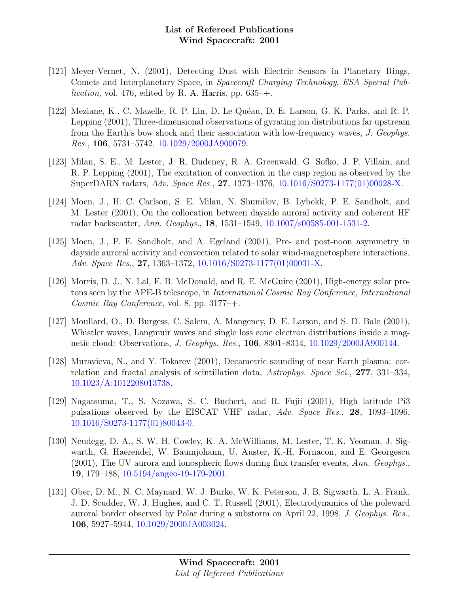- [121] Meyer-Vernet, N. (2001), Detecting Dust with Electric Sensors in Planetary Rings, Comets and Interplanetary Space, in Spacecraft Charging Technology, ESA Special Pub*lication*, vol. 476, edited by R. A. Harris, pp.  $635$ –+.
- [122] Meziane, K., C. Mazelle, R. P. Lin, D. Le Quéau, D. E. Larson, G. K. Parks, and R. P. Lepping (2001), Three-dimensional observations of gyrating ion distributions far upstream from the Earth's bow shock and their association with low-frequency waves, J. Geophys. Res., 106, 5731–5742, [10.1029/2000JA900079.](http://dx.doi.org/10.1029/2000JA900079)
- [123] Milan, S. E., M. Lester, J. R. Dudeney, R. A. Greenwald, G. Sofko, J. P. Villain, and R. P. Lepping (2001), The excitation of convection in the cusp region as observed by the SuperDARN radars, Adv. Space Res., 27, 1373–1376, [10.1016/S0273-1177\(01\)00028-X.](http://dx.doi.org/10.1016/S0273-1177(01)00028-X)
- [124] Moen, J., H. C. Carlson, S. E. Milan, N. Shumilov, B. Lybekk, P. E. Sandholt, and M. Lester (2001), On the collocation between dayside auroral activity and coherent HF radar backscatter, Ann. Geophys., 18, 1531–1549, [10.1007/s00585-001-1531-2.](http://dx.doi.org/10.1007/s00585-001-1531-2)
- [125] Moen, J., P. E. Sandholt, and A. Egeland (2001), Pre- and post-noon asymmetry in dayside auroral activity and convection related to solar wind-magnetosphere interactions, Adv. Space Res., 27, 1363–1372, [10.1016/S0273-1177\(01\)00031-X.](http://dx.doi.org/10.1016/S0273-1177(01)00031-X)
- [126] Morris, D. J., N. Lal, F. B. McDonald, and R. E. McGuire (2001), High-energy solar protons seen by the APE-B telescope, in International Cosmic Ray Conference, International Cosmic Ray Conference, vol. 8, pp. 3177–+.
- [127] Moullard, O., D. Burgess, C. Salem, A. Mangeney, D. E. Larson, and S. D. Bale (2001), Whistler waves, Langmuir waves and single loss cone electron distributions inside a magnetic cloud: Observations, J. Geophys. Res., 106, 8301–8314, [10.1029/2000JA900144.](http://dx.doi.org/10.1029/2000JA900144)
- [128] Muravieva, N., and Y. Tokarev (2001), Decametric sounding of near Earth plasma: correlation and fractal analysis of scintillation data, Astrophys. Space Sci., 277, 331–334, [10.1023/A:1012208013738.](http://dx.doi.org/10.1023/A:1012208013738)
- [129] Nagatsuma, T., S. Nozawa, S. C. Buchert, and R. Fujii (2001), High latitude Pi3 pulsations observed by the EISCAT VHF radar, Adv. Space Res., 28, 1093–1096, [10.1016/S0273-1177\(01\)80043-0.](http://dx.doi.org/10.1016/S0273-1177(01)80043-0)
- [130] Neudegg, D. A., S. W. H. Cowley, K. A. McWilliams, M. Lester, T. K. Yeoman, J. Sigwarth, G. Haerendel, W. Baumjohann, U. Auster, K.-H. Fornacon, and E. Georgescu  $(2001)$ , The UV aurora and ionospheric flows during flux transfer events, Ann. Geophys. 19, 179–188, [10.5194/angeo-19-179-2001.](http://dx.doi.org/10.5194/angeo-19-179-2001)
- [131] Ober, D. M., N. C. Maynard, W. J. Burke, W. K. Peterson, J. B. Sigwarth, L. A. Frank, J. D. Scudder, W. J. Hughes, and C. T. Russell (2001), Electrodynamics of the poleward auroral border observed by Polar during a substorm on April 22, 1998, J. Geophys. Res., 106, 5927–5944, [10.1029/2000JA003024.](http://dx.doi.org/10.1029/2000JA003024)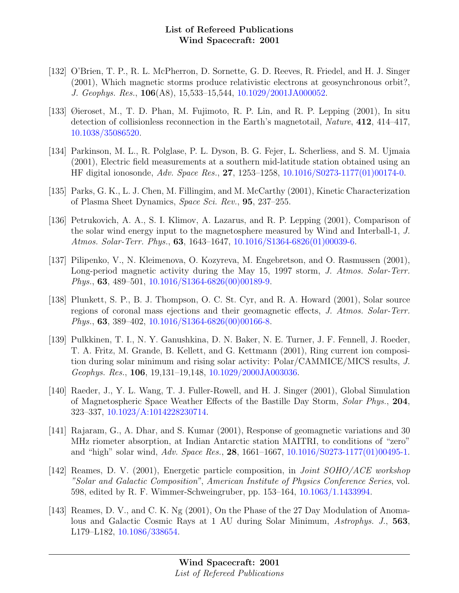- [132] O'Brien, T. P., R. L. McPherron, D. Sornette, G. D. Reeves, R. Friedel, and H. J. Singer (2001), Which magnetic storms produce relativistic electrons at geosynchronous orbit?, J. Geophys. Res., 106(A8), 15,533–15,544, [10.1029/2001JA000052.](http://dx.doi.org/10.1029/2001JA000052)
- [133] Øieroset, M., T. D. Phan, M. Fujimoto, R. P. Lin, and R. P. Lepping (2001), In situ detection of collisionless reconnection in the Earth's magnetotail, Nature, 412, 414–417, [10.1038/35086520.](http://dx.doi.org/10.1038/35086520)
- [134] Parkinson, M. L., R. Polglase, P. L. Dyson, B. G. Fejer, L. Scherliess, and S. M. Ujmaia (2001), Electric field measurements at a southern mid-latitude station obtained using an HF digital ionosonde, Adv. Space Res., 27, 1253–1258, [10.1016/S0273-1177\(01\)00174-0.](http://dx.doi.org/10.1016/S0273-1177(01)00174-0)
- [135] Parks, G. K., L. J. Chen, M. Fillingim, and M. McCarthy (2001), Kinetic Characterization of Plasma Sheet Dynamics, Space Sci. Rev., 95, 237–255.
- [136] Petrukovich, A. A., S. I. Klimov, A. Lazarus, and R. P. Lepping (2001), Comparison of the solar wind energy input to the magnetosphere measured by Wind and Interball-1, J. Atmos. Solar-Terr. Phys., 63, 1643–1647, [10.1016/S1364-6826\(01\)00039-6.](http://dx.doi.org/10.1016/S1364-6826(01)00039-6)
- [137] Pilipenko, V., N. Kleimenova, O. Kozyreva, M. Engebretson, and O. Rasmussen (2001), Long-period magnetic activity during the May 15, 1997 storm, J. Atmos. Solar-Terr. *Phys.*, **63**, 489–501, [10.1016/S1364-6826\(00\)00189-9.](http://dx.doi.org/10.1016/S1364-6826(00)00189-9)
- [138] Plunkett, S. P., B. J. Thompson, O. C. St. Cyr, and R. A. Howard (2001), Solar source regions of coronal mass ejections and their geomagnetic effects, J. Atmos. Solar-Terr. *Phys.*, **63**,  $389-402$ ,  $10.1016/S1364-6826(00)00166-8$ .
- [139] Pulkkinen, T. I., N. Y. Ganushkina, D. N. Baker, N. E. Turner, J. F. Fennell, J. Roeder, T. A. Fritz, M. Grande, B. Kellett, and G. Kettmann (2001), Ring current ion composition during solar minimum and rising solar activity: Polar/CAMMICE/MICS results, J. Geophys. Res., 106, 19,131–19,148, [10.1029/2000JA003036.](http://dx.doi.org/10.1029/2000JA003036)
- [140] Raeder, J., Y. L. Wang, T. J. Fuller-Rowell, and H. J. Singer (2001), Global Simulation of Magnetospheric Space Weather Effects of the Bastille Day Storm, Solar Phys., 204, 323–337, [10.1023/A:1014228230714.](http://dx.doi.org/10.1023/A:1014228230714)
- [141] Rajaram, G., A. Dhar, and S. Kumar (2001), Response of geomagnetic variations and 30 MHz riometer absorption, at Indian Antarctic station MAITRI, to conditions of "zero" and "high" solar wind, Adv. Space Res., 28, 1661–1667, [10.1016/S0273-1177\(01\)00495-1.](http://dx.doi.org/10.1016/S0273-1177(01)00495-1)
- [142] Reames, D. V. (2001), Energetic particle composition, in *Joint SOHO/ACE workshop* "Solar and Galactic Composition", American Institute of Physics Conference Series, vol. 598, edited by R. F. Wimmer-Schweingruber, pp. 153–164, [10.1063/1.1433994.](http://dx.doi.org/10.1063/1.1433994)
- [143] Reames, D. V., and C. K. Ng (2001), On the Phase of the 27 Day Modulation of Anomalous and Galactic Cosmic Rays at 1 AU during Solar Minimum, Astrophys. J., 563, L179–L182, [10.1086/338654.](http://dx.doi.org/10.1086/338654)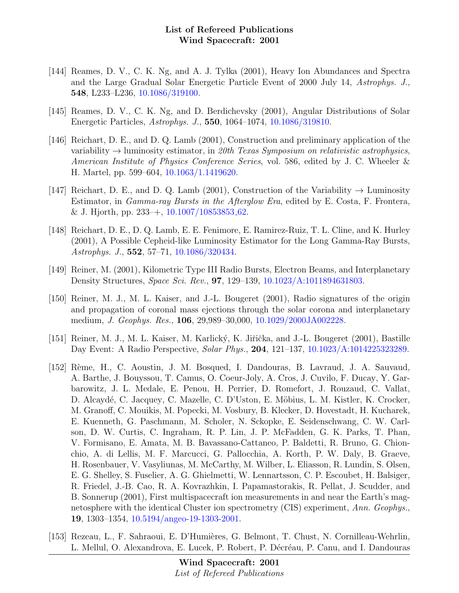- [144] Reames, D. V., C. K. Ng, and A. J. Tylka (2001), Heavy Ion Abundances and Spectra and the Large Gradual Solar Energetic Particle Event of 2000 July 14, Astrophys. J., 548, L233–L236, [10.1086/319100.](http://dx.doi.org/10.1086/319100)
- [145] Reames, D. V., C. K. Ng, and D. Berdichevsky (2001), Angular Distributions of Solar Energetic Particles, Astrophys. J., 550, 1064–1074, [10.1086/319810.](http://dx.doi.org/10.1086/319810)
- [146] Reichart, D. E., and D. Q. Lamb (2001), Construction and preliminary application of the variability  $\rightarrow$  luminosity estimator, in 20th Texas Symposium on relativistic astrophysics, American Institute of Physics Conference Series, vol. 586, edited by J. C. Wheeler & H. Martel, pp. 599–604, [10.1063/1.1419620.](http://dx.doi.org/10.1063/1.1419620)
- [147] Reichart, D. E., and D. Q. Lamb (2001), Construction of the Variability  $\rightarrow$  Luminosity Estimator, in Gamma-ray Bursts in the Afterglow Era, edited by E. Costa, F. Frontera, & J. Hjorth, pp.  $233-+$ ,  $10.1007/10853853_62$  $10.1007/10853853_62$ .
- [148] Reichart, D. E., D. Q. Lamb, E. E. Fenimore, E. Ramirez-Ruiz, T. L. Cline, and K. Hurley (2001), A Possible Cepheid-like Luminosity Estimator for the Long Gamma-Ray Bursts, Astrophys. J., 552, 57–71, [10.1086/320434.](http://dx.doi.org/10.1086/320434)
- [149] Reiner, M. (2001), Kilometric Type III Radio Bursts, Electron Beams, and Interplanetary Density Structures, Space Sci. Rev., 97, 129–139, [10.1023/A:1011894631803.](http://dx.doi.org/10.1023/A:1011894631803)
- [150] Reiner, M. J., M. L. Kaiser, and J.-L. Bougeret (2001), Radio signatures of the origin and propagation of coronal mass ejections through the solar corona and interplanetary medium, J. Geophys. Res., 106, 29,989–30,000, [10.1029/2000JA002228.](http://dx.doi.org/10.1029/2000JA002228)
- [151] Reiner, M. J., M. L. Kaiser, M. Karlický, K. Jiřička, and J.-L. Bougeret (2001), Bastille Day Event: A Radio Perspective, Solar Phys., 204, 121–137, [10.1023/A:1014225323289.](http://dx.doi.org/10.1023/A:1014225323289)
- [152] R`eme, H., C. Aoustin, J. M. Bosqued, I. Dandouras, B. Lavraud, J. A. Sauvaud, A. Barthe, J. Bouyssou, T. Camus, O. Coeur-Joly, A. Cros, J. Cuvilo, F. Ducay, Y. Garbarowitz, J. L. Medale, E. Penou, H. Perrier, D. Romefort, J. Rouzaud, C. Vallat, D. Alcaydé, C. Jacquey, C. Mazelle, C. D'Uston, E. Möbius, L. M. Kistler, K. Crocker, M. Granoff, C. Mouikis, M. Popecki, M. Vosbury, B. Klecker, D. Hovestadt, H. Kucharek, E. Kuenneth, G. Paschmann, M. Scholer, N. Sckopke, E. Seidenschwang, C. W. Carlson, D. W. Curtis, C. Ingraham, R. P. Lin, J. P. McFadden, G. K. Parks, T. Phan, V. Formisano, E. Amata, M. B. Bavassano-Cattaneo, P. Baldetti, R. Bruno, G. Chionchio, A. di Lellis, M. F. Marcucci, G. Pallocchia, A. Korth, P. W. Daly, B. Graeve, H. Rosenbauer, V. Vasyliunas, M. McCarthy, M. Wilber, L. Eliasson, R. Lundin, S. Olsen, E. G. Shelley, S. Fuselier, A. G. Ghielmetti, W. Lennartsson, C. P. Escoubet, H. Balsiger, R. Friedel, J.-B. Cao, R. A. Kovrazhkin, I. Papamastorakis, R. Pellat, J. Scudder, and B. Sonnerup (2001), First multispacecraft ion measurements in and near the Earth's magnetosphere with the identical Cluster ion spectrometry (CIS) experiment, Ann. Geophys. 19, 1303–1354, [10.5194/angeo-19-1303-2001.](http://dx.doi.org/10.5194/angeo-19-1303-2001)
- [153] Rezeau, L., F. Sahraoui, E. D'Humières, G. Belmont, T. Chust, N. Cornilleau-Wehrlin, L. Mellul, O. Alexandrova, E. Lucek, P. Robert, P. Décréau, P. Canu, and I. Dandouras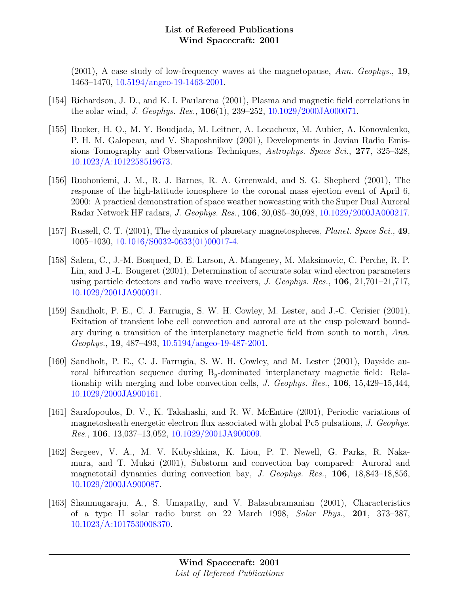$(2001)$ , A case study of low-frequency waves at the magnetopause, Ann. Geophys., 19, 1463–1470, [10.5194/angeo-19-1463-2001.](http://dx.doi.org/10.5194/angeo-19-1463-2001)

- [154] Richardson, J. D., and K. I. Paularena (2001), Plasma and magnetic field correlations in the solar wind, J. Geophys. Res., 106(1), 239–252, [10.1029/2000JA000071.](http://dx.doi.org/10.1029/2000JA000071)
- [155] Rucker, H. O., M. Y. Boudjada, M. Leitner, A. Lecacheux, M. Aubier, A. Konovalenko, P. H. M. Galopeau, and V. Shaposhnikov (2001), Developments in Jovian Radio Emissions Tomography and Observations Techniques, Astrophys. Space Sci., 277, 325–328, [10.1023/A:1012258519673.](http://dx.doi.org/10.1023/A:1012258519673)
- [156] Ruohoniemi, J. M., R. J. Barnes, R. A. Greenwald, and S. G. Shepherd (2001), The response of the high-latitude ionosphere to the coronal mass ejection event of April 6, 2000: A practical demonstration of space weather nowcasting with the Super Dual Auroral Radar Network HF radars, J. Geophys. Res., 106, 30,085–30,098, [10.1029/2000JA000217.](http://dx.doi.org/10.1029/2000JA000217)
- [157] Russell, C. T. (2001), The dynamics of planetary magnetospheres, *Planet. Space Sci.*, 49, 1005–1030, [10.1016/S0032-0633\(01\)00017-4.](http://dx.doi.org/10.1016/S0032-0633(01)00017-4)
- [158] Salem, C., J.-M. Bosqued, D. E. Larson, A. Mangeney, M. Maksimovic, C. Perche, R. P. Lin, and J.-L. Bougeret (2001), Determination of accurate solar wind electron parameters using particle detectors and radio wave receivers, J. Geophys. Res.,  $106$ ,  $21,701-21,717$ , [10.1029/2001JA900031.](http://dx.doi.org/10.1029/2001JA900031)
- [159] Sandholt, P. E., C. J. Farrugia, S. W. H. Cowley, M. Lester, and J.-C. Cerisier (2001), Exitation of transient lobe cell convection and auroral arc at the cusp poleward boundary during a transition of the interplanetary magnetic field from south to north, Ann. Geophys., 19, 487–493, [10.5194/angeo-19-487-2001.](http://dx.doi.org/10.5194/angeo-19-487-2001)
- [160] Sandholt, P. E., C. J. Farrugia, S. W. H. Cowley, and M. Lester (2001), Dayside auroral bifurcation sequence during  $B_y$ -dominated interplanetary magnetic field: Relationship with merging and lobe convection cells, J. Geophys. Res., 106, 15,429–15,444, [10.1029/2000JA900161.](http://dx.doi.org/10.1029/2000JA900161)
- [161] Sarafopoulos, D. V., K. Takahashi, and R. W. McEntire (2001), Periodic variations of magnetosheath energetic electron flux associated with global Pc5 pulsations, J. Geophys. Res., 106, 13,037–13,052, [10.1029/2001JA900009.](http://dx.doi.org/10.1029/2001JA900009)
- [162] Sergeev, V. A., M. V. Kubyshkina, K. Liou, P. T. Newell, G. Parks, R. Nakamura, and T. Mukai (2001), Substorm and convection bay compared: Auroral and magnetotail dynamics during convection bay, J. Geophys. Res., 106, 18,843–18,856, [10.1029/2000JA900087.](http://dx.doi.org/10.1029/2000JA900087)
- [163] Shanmugaraju, A., S. Umapathy, and V. Balasubramanian (2001), Characteristics of a type II solar radio burst on 22 March 1998, Solar Phys., 201, 373–387, [10.1023/A:1017530008370.](http://dx.doi.org/10.1023/A:1017530008370)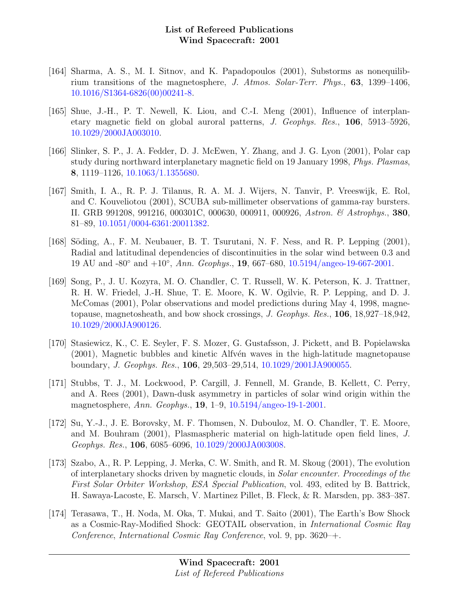- [164] Sharma, A. S., M. I. Sitnov, and K. Papadopoulos (2001), Substorms as nonequilibrium transitions of the magnetosphere, J. Atmos. Solar-Terr. Phys., 63, 1399–1406, [10.1016/S1364-6826\(00\)00241-8.](http://dx.doi.org/10.1016/S1364-6826(00)00241-8)
- [165] Shue, J.-H., P. T. Newell, K. Liou, and C.-I. Meng (2001), Influence of interplanetary magnetic field on global auroral patterns, J. Geophys. Res., 106, 5913–5926, [10.1029/2000JA003010.](http://dx.doi.org/10.1029/2000JA003010)
- [166] Slinker, S. P., J. A. Fedder, D. J. McEwen, Y. Zhang, and J. G. Lyon (2001), Polar cap study during northward interplanetary magnetic field on 19 January 1998, Phys. Plasmas, 8, 1119–1126, [10.1063/1.1355680.](http://dx.doi.org/10.1063/1.1355680)
- [167] Smith, I. A., R. P. J. Tilanus, R. A. M. J. Wijers, N. Tanvir, P. Vreeswijk, E. Rol, and C. Kouveliotou (2001), SCUBA sub-millimeter observations of gamma-ray bursters. II. GRB 991208, 991216, 000301C, 000630, 000911, 000926, Astron. & Astrophys., 380, 81–89, [10.1051/0004-6361:20011382.](http://dx.doi.org/10.1051/0004-6361:20011382)
- [168] Söding, A., F. M. Neubauer, B. T. Tsurutani, N. F. Ness, and R. P. Lepping (2001), Radial and latitudinal dependencies of discontinuities in the solar wind between 0.3 and 19 AU and -80° and +10°, Ann. Geophys., **19**, 667–680, [10.5194/angeo-19-667-2001.](http://dx.doi.org/10.5194/angeo-19-667-2001)
- [169] Song, P., J. U. Kozyra, M. O. Chandler, C. T. Russell, W. K. Peterson, K. J. Trattner, R. H. W. Friedel, J.-H. Shue, T. E. Moore, K. W. Ogilvie, R. P. Lepping, and D. J. McComas (2001), Polar observations and model predictions during May 4, 1998, magnetopause, magnetosheath, and bow shock crossings, J. Geophys. Res., 106, 18,927–18,942, [10.1029/2000JA900126.](http://dx.doi.org/10.1029/2000JA900126)
- [170] Stasiewicz, K., C. E. Seyler, F. S. Mozer, G. Gustafsson, J. Pickett, and B. Popielawska  $(2001)$ , Magnetic bubbles and kinetic Alfvén waves in the high-latitude magnetopause boundary, J. Geophys. Res., 106, 29,503–29,514, [10.1029/2001JA900055.](http://dx.doi.org/10.1029/2001JA900055)
- [171] Stubbs, T. J., M. Lockwood, P. Cargill, J. Fennell, M. Grande, B. Kellett, C. Perry, and A. Rees (2001), Dawn-dusk asymmetry in particles of solar wind origin within the magnetosphere, Ann. Geophys., 19, 1–9, [10.5194/angeo-19-1-2001.](http://dx.doi.org/10.5194/angeo-19-1-2001)
- [172] Su, Y.-J., J. E. Borovsky, M. F. Thomsen, N. Dubouloz, M. O. Chandler, T. E. Moore, and M. Bouhram (2001), Plasmaspheric material on high-latitude open field lines, J. Geophys. Res., 106, 6085–6096, [10.1029/2000JA003008.](http://dx.doi.org/10.1029/2000JA003008)
- [173] Szabo, A., R. P. Lepping, J. Merka, C. W. Smith, and R. M. Skoug (2001), The evolution of interplanetary shocks driven by magnetic clouds, in Solar encounter. Proceedings of the First Solar Orbiter Workshop, ESA Special Publication, vol. 493, edited by B. Battrick, H. Sawaya-Lacoste, E. Marsch, V. Martinez Pillet, B. Fleck, & R. Marsden, pp. 383–387.
- [174] Terasawa, T., H. Noda, M. Oka, T. Mukai, and T. Saito (2001), The Earth's Bow Shock as a Cosmic-Ray-Modified Shock: GEOTAIL observation, in International Cosmic Ray Conference, International Cosmic Ray Conference, vol. 9, pp. 3620–+.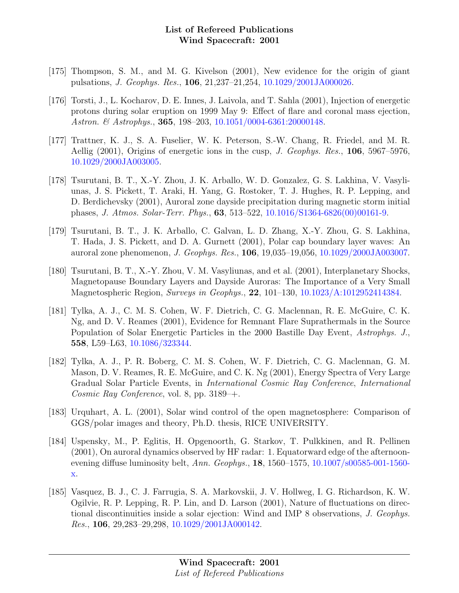- [175] Thompson, S. M., and M. G. Kivelson (2001), New evidence for the origin of giant pulsations, J. Geophys. Res., 106, 21,237–21,254, [10.1029/2001JA000026.](http://dx.doi.org/10.1029/2001JA000026)
- [176] Torsti, J., L. Kocharov, D. E. Innes, J. Laivola, and T. Sahla (2001), Injection of energetic protons during solar eruption on 1999 May 9: Effect of flare and coronal mass ejection, Astron. & Astrophys., **365**, 198-203, [10.1051/0004-6361:20000148.](http://dx.doi.org/10.1051/0004-6361:20000148)
- [177] Trattner, K. J., S. A. Fuselier, W. K. Peterson, S.-W. Chang, R. Friedel, and M. R. Aellig (2001), Origins of energetic ions in the cusp, J. Geophys. Res.,  $106$ , 5967–5976, [10.1029/2000JA003005.](http://dx.doi.org/10.1029/2000JA003005)
- [178] Tsurutani, B. T., X.-Y. Zhou, J. K. Arballo, W. D. Gonzalez, G. S. Lakhina, V. Vasyliunas, J. S. Pickett, T. Araki, H. Yang, G. Rostoker, T. J. Hughes, R. P. Lepping, and D. Berdichevsky (2001), Auroral zone dayside precipitation during magnetic storm initial phases, J. Atmos. Solar-Terr. Phys., 63, 513–522, [10.1016/S1364-6826\(00\)00161-9.](http://dx.doi.org/10.1016/S1364-6826(00)00161-9)
- [179] Tsurutani, B. T., J. K. Arballo, C. Galvan, L. D. Zhang, X.-Y. Zhou, G. S. Lakhina, T. Hada, J. S. Pickett, and D. A. Gurnett (2001), Polar cap boundary layer waves: An auroral zone phenomenon, J. Geophys. Res., 106, 19,035–19,056, [10.1029/2000JA003007.](http://dx.doi.org/10.1029/2000JA003007)
- [180] Tsurutani, B. T., X.-Y. Zhou, V. M. Vasyliunas, and et al. (2001), Interplanetary Shocks, Magnetopause Boundary Layers and Dayside Auroras: The Importance of a Very Small Magnetospheric Region, Surveys in Geophys., 22, 101–130, [10.1023/A:1012952414384.](http://dx.doi.org/10.1023/A:1012952414384)
- [181] Tylka, A. J., C. M. S. Cohen, W. F. Dietrich, C. G. Maclennan, R. E. McGuire, C. K. Ng, and D. V. Reames (2001), Evidence for Remnant Flare Suprathermals in the Source Population of Solar Energetic Particles in the 2000 Bastille Day Event, Astrophys. J., 558, L59–L63, [10.1086/323344.](http://dx.doi.org/10.1086/323344)
- [182] Tylka, A. J., P. R. Boberg, C. M. S. Cohen, W. F. Dietrich, C. G. Maclennan, G. M. Mason, D. V. Reames, R. E. McGuire, and C. K. Ng (2001), Energy Spectra of Very Large Gradual Solar Particle Events, in International Cosmic Ray Conference, International Cosmic Ray Conference, vol. 8, pp. 3189–+.
- [183] Urquhart, A. L. (2001), Solar wind control of the open magnetosphere: Comparison of GGS/polar images and theory, Ph.D. thesis, RICE UNIVERSITY.
- [184] Uspensky, M., P. Eglitis, H. Opgenoorth, G. Starkov, T. Pulkkinen, and R. Pellinen (2001), On auroral dynamics observed by HF radar: 1. Equatorward edge of the afternoonevening diffuse luminosity belt, Ann. Geophys., **18**, 1560–1575, [10.1007/s00585-001-1560](http://dx.doi.org/10.1007/s00585-001-1560-x) [x.](http://dx.doi.org/10.1007/s00585-001-1560-x)
- [185] Vasquez, B. J., C. J. Farrugia, S. A. Markovskii, J. V. Hollweg, I. G. Richardson, K. W. Ogilvie, R. P. Lepping, R. P. Lin, and D. Larson (2001), Nature of fluctuations on directional discontinuities inside a solar ejection: Wind and IMP 8 observations, J. Geophys. Res., 106, 29,283–29,298, [10.1029/2001JA000142.](http://dx.doi.org/10.1029/2001JA000142)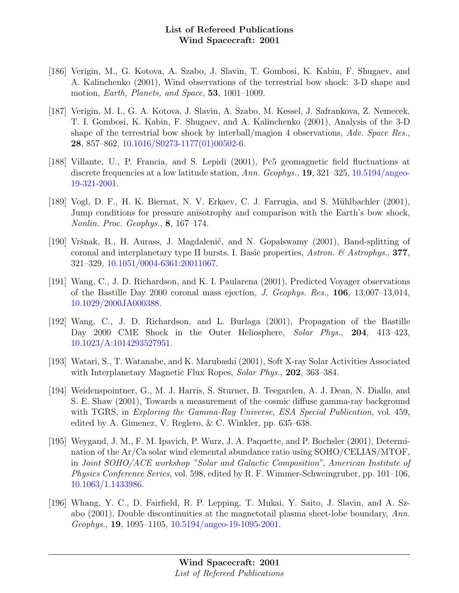- [186] Verigin, M., G. Kotova, A. Szabo, J. Slavin, T. Gombosi, K. Kabin, F. Shugaev, and A. Kalinchenko (2001), Wind observations of the terrestrial bow shock: 3-D shape and motion, *Earth, Planets, and Space*, **53**, 1001–1009.
- [187] Verigin, M. I., G. A. Kotova, J. Slavin, A. Szabo, M. Kessel, J. Safrankova, Z. Nemecek, T. I. Gombosi, K. Kabin, F. Shugaev, and A. Kalinchenko (2001), Analysis of the 3-D shape of the terrestrial bow shock by interball/magion 4 observations, Adv. Space Res., 28, 857–862, [10.1016/S0273-1177\(01\)00502-6.](http://dx.doi.org/10.1016/S0273-1177(01)00502-6)
- [188] Villante, U., P. Francia, and S. Lepidi (2001), Pc5 geomagnetic field fluctuations at discrete frequencies at a low latitude station, Ann. Geophys., 19, 321–325, [10.5194/angeo-](http://dx.doi.org/10.5194/angeo-19-321-2001)[19-321-2001.](http://dx.doi.org/10.5194/angeo-19-321-2001)
- [189] Vogl, D. F., H. K. Biernat, N. V. Erkaev, C. J. Farrugia, and S. Mühlbachler (2001), Jump conditions for pressure anisotrophy and comparison with the Earth's bow shock, Nonlin. Proc. Geophys., 8, 167–174.
- [190] Vršnak, B., H. Aurass, J. Magdalenić, and N. Gopalswamy (2001), Band-splitting of coronal and interplanetary type II bursts. I. Basic properties, Astron.  $\mathscr B$  Astrophys., 377, 321–329, [10.1051/0004-6361:20011067.](http://dx.doi.org/10.1051/0004-6361:20011067)
- [191] Wang, C., J. D. Richardson, and K. I. Paularena (2001), Predicted Voyager observations of the Bastille Day 2000 coronal mass ejection, J. Geophys. Res., 106, 13,007–13,014, [10.1029/2000JA000388.](http://dx.doi.org/10.1029/2000JA000388)
- [192] Wang, C., J. D. Richardson, and L. Burlaga (2001), Propagation of the Bastille Day 2000 CME Shock in the Outer Heliosphere, Solar Phys., 204, 413–423, [10.1023/A:1014293527951.](http://dx.doi.org/10.1023/A:1014293527951)
- [193] Watari, S., T. Watanabe, and K. Marubashi (2001), Soft X-ray Solar Activities Associated with Interplanetary Magnetic Flux Ropes, *Solar Phys.*, **202**, 363–384.
- [194] Weidenspointner, G., M. J. Harris, S. Sturner, B. Teegarden, A. J. Dean, N. Diallo, and S. E. Shaw (2001), Towards a measurement of the cosmic diffuse gamma-ray background with TGRS, in Exploring the Gamma-Ray Universe, ESA Special Publication, vol. 459, edited by A. Gimenez, V. Reglero, & C. Winkler, pp. 635–638.
- [195] Weygand, J. M., F. M. Ipavich, P. Wurz, J. A. Paquette, and P. Bochsler (2001), Determination of the Ar/Ca solar wind elemental abundance ratio using SOHO/CELIAS/MTOF, in Joint SOHO/ACE workshop "Solar and Galactic Composition", American Institute of Physics Conference Series, vol. 598, edited by R. F. Wimmer-Schweingruber, pp. 101–106, [10.1063/1.1433986.](http://dx.doi.org/10.1063/1.1433986)
- [196] Whang, Y. C., D. Fairfield, R. P. Lepping, T. Mukai, Y. Saito, J. Slavin, and A. Szabo (2001), Double discontinuities at the magnetotail plasma sheet-lobe boundary, Ann. Geophys., 19, 1095–1105, [10.5194/angeo-19-1095-2001.](http://dx.doi.org/10.5194/angeo-19-1095-2001)